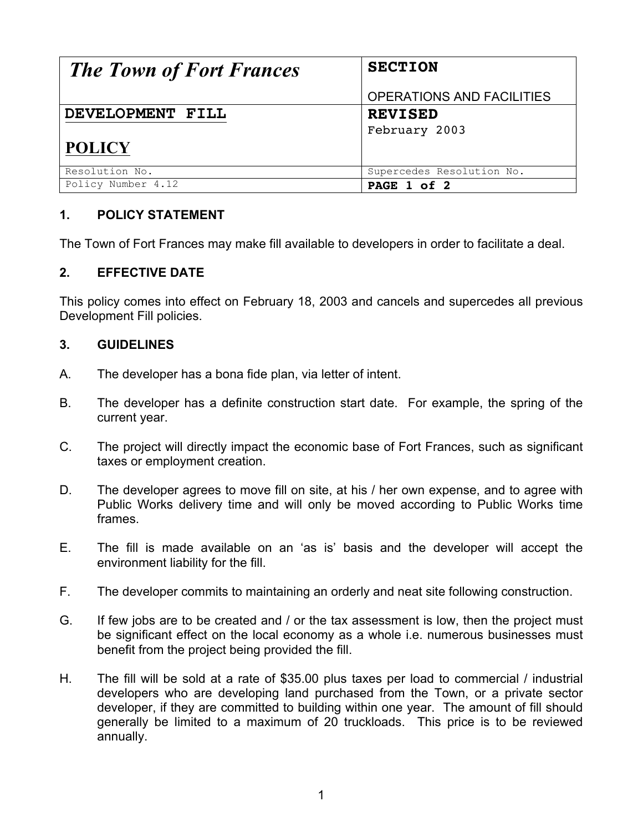| <b>The Town of Fort Frances</b> | <b>SECTION</b>                   |
|---------------------------------|----------------------------------|
|                                 | <b>OPERATIONS AND FACILITIES</b> |
| DEVELOPMENT FILL                | <b>REVISED</b>                   |
|                                 | February 2003                    |
| <b>POLICY</b>                   |                                  |
| Resolution No.                  | Supercedes Resolution No.        |
| Policy Number 4.12              | PAGE 1 of 2                      |

## **1. POLICY STATEMENT**

The Town of Fort Frances may make fill available to developers in order to facilitate a deal.

## **2. EFFECTIVE DATE**

This policy comes into effect on February 18, 2003 and cancels and supercedes all previous Development Fill policies.

## **3. GUIDELINES**

- A. The developer has a bona fide plan, via letter of intent.
- B. The developer has a definite construction start date. For example, the spring of the current year.
- C. The project will directly impact the economic base of Fort Frances, such as significant taxes or employment creation.
- D. The developer agrees to move fill on site, at his / her own expense, and to agree with Public Works delivery time and will only be moved according to Public Works time frames.
- E. The fill is made available on an 'as is' basis and the developer will accept the environment liability for the fill.
- F. The developer commits to maintaining an orderly and neat site following construction.
- G. If few jobs are to be created and / or the tax assessment is low, then the project must be significant effect on the local economy as a whole i.e. numerous businesses must benefit from the project being provided the fill.
- H. The fill will be sold at a rate of \$35.00 plus taxes per load to commercial / industrial developers who are developing land purchased from the Town, or a private sector developer, if they are committed to building within one year. The amount of fill should generally be limited to a maximum of 20 truckloads. This price is to be reviewed annually.